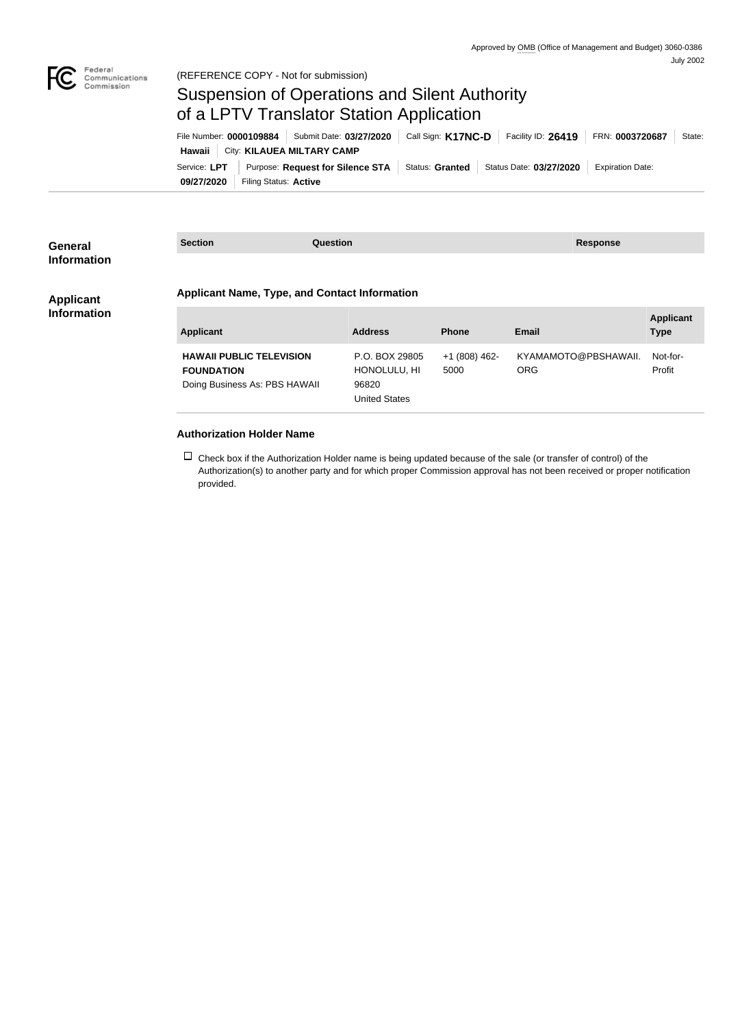

## Suspension of Operations and Silent Authority of a LPTV Translator Station Application

| File Number: 0000109884   Submit Date: 03/27/2020 |                       | Call Sign: K17NC-D   Facility ID: 26419   FRN: 0003720687                                   |  |  |  | State:                  |  |
|---------------------------------------------------|-----------------------|---------------------------------------------------------------------------------------------|--|--|--|-------------------------|--|
| Hawaii   City: KILAUEA MILTARY CAMP               |                       |                                                                                             |  |  |  |                         |  |
|                                                   |                       | Service: LPT   Purpose: Request for Silence STA   Status: Granted   Status Date: 03/27/2020 |  |  |  | <b>Expiration Date:</b> |  |
| 09/27/2020                                        | Filing Status: Active |                                                                                             |  |  |  |                         |  |

| <b>General</b><br><b>Information</b> | <b>Section</b><br><b>Question</b>                    |                      |               | <b>Response</b>      |                  |  |  |
|--------------------------------------|------------------------------------------------------|----------------------|---------------|----------------------|------------------|--|--|
|                                      |                                                      |                      |               |                      |                  |  |  |
| <b>Applicant</b>                     | <b>Applicant Name, Type, and Contact Information</b> |                      |               |                      |                  |  |  |
| <b>Information</b>                   |                                                      |                      |               |                      | <b>Applicant</b> |  |  |
|                                      | <b>Applicant</b>                                     | <b>Address</b>       | <b>Phone</b>  | <b>Email</b>         | <b>Type</b>      |  |  |
|                                      | <b>HAWAII PUBLIC TELEVISION</b>                      | P.O. BOX 29805       | +1 (808) 462- | KYAMAMOTO@PBSHAWAII. | Not-for-         |  |  |
|                                      | <b>FOUNDATION</b>                                    | HONOLULU, HI         | 5000          | <b>ORG</b>           | Profit           |  |  |
|                                      | Doing Business As: PBS HAWAII                        | 96820                |               |                      |                  |  |  |
|                                      |                                                      | <b>United States</b> |               |                      |                  |  |  |
|                                      |                                                      |                      |               |                      |                  |  |  |
|                                      | .                                                    |                      |               |                      |                  |  |  |

## **Authorization Holder Name**

 $\Box$  Check box if the Authorization Holder name is being updated because of the sale (or transfer of control) of the Authorization(s) to another party and for which proper Commission approval has not been received or proper notification provided.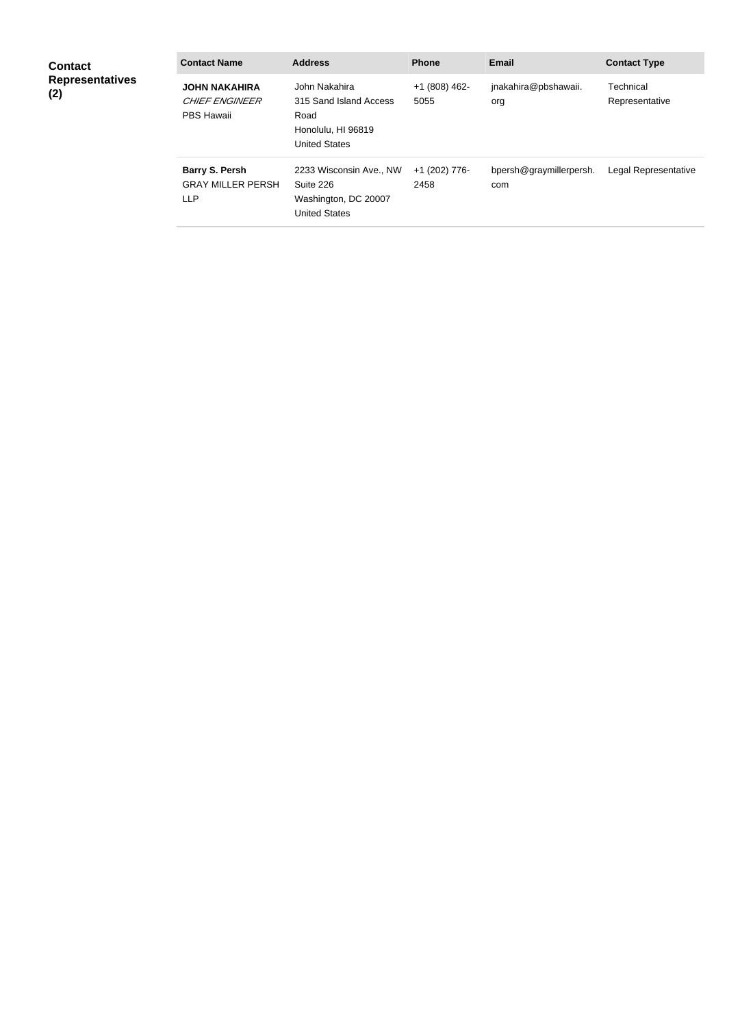| <b>Contact</b><br><b>Representatives</b><br>(2) | <b>Contact Name</b>                                                | <b>Address</b>                                                                                | <b>Phone</b>            | Email                          | <b>Contact Type</b>         |
|-------------------------------------------------|--------------------------------------------------------------------|-----------------------------------------------------------------------------------------------|-------------------------|--------------------------------|-----------------------------|
|                                                 | <b>JOHN NAKAHIRA</b><br><b>CHIEF ENGINEER</b><br><b>PBS Hawaii</b> | John Nakahira<br>315 Sand Island Access<br>Road<br>Honolulu, HI 96819<br><b>United States</b> | $+1$ (808) 462-<br>5055 | jnakahira@pbshawaii.<br>org    | Technical<br>Representative |
|                                                 | <b>Barry S. Persh</b><br><b>GRAY MILLER PERSH</b><br><b>LLP</b>    | 2233 Wisconsin Ave., NW<br>Suite 226<br>Washington, DC 20007<br><b>United States</b>          | +1 (202) 776-<br>2458   | bpersh@graymillerpersh.<br>com | Legal Representative        |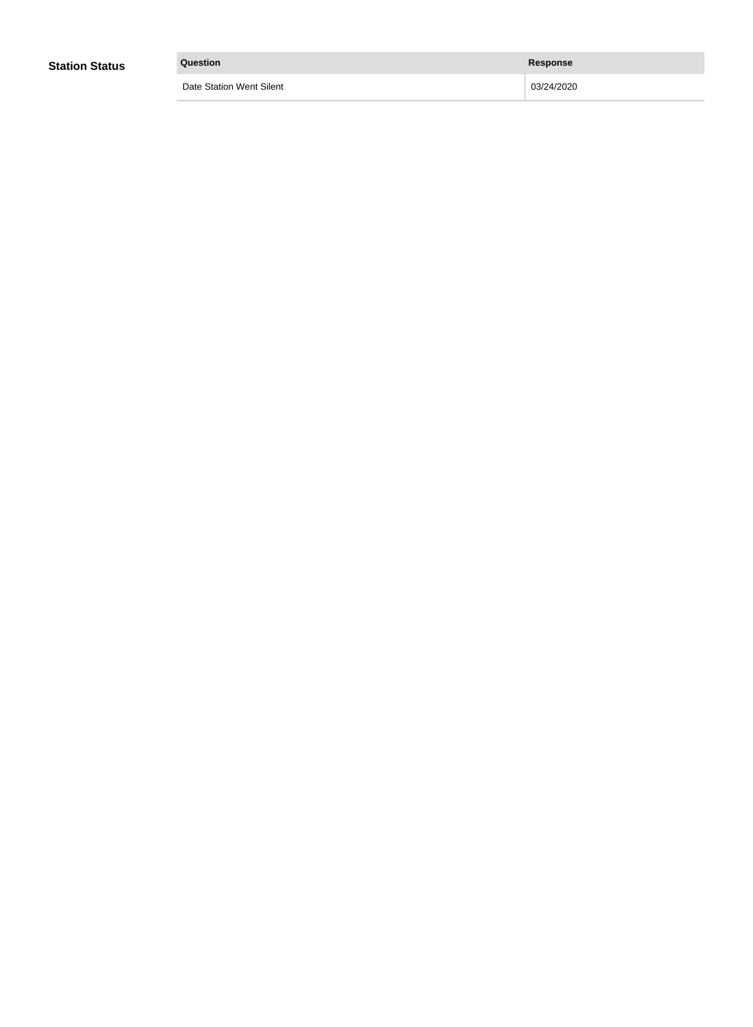| <b>Station Status</b> | Question                 | <b>Response</b> |
|-----------------------|--------------------------|-----------------|
|                       | Date Station Went Silent | 03/24/2020      |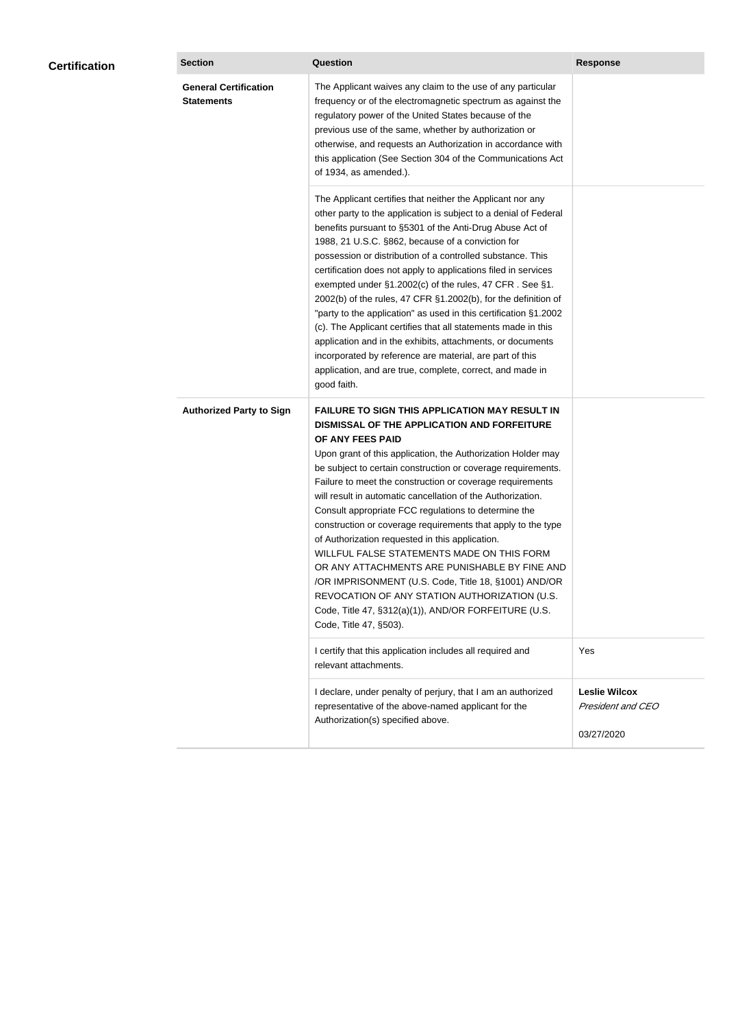| <b>Certification</b> | <b>Section</b>                                    | <b>Question</b>                                                                                                                                                                                                                                                                                                                                                                                                                                                                                                                                                                                                                                                                                                                                                                                                                                           | <b>Response</b>                                                |
|----------------------|---------------------------------------------------|-----------------------------------------------------------------------------------------------------------------------------------------------------------------------------------------------------------------------------------------------------------------------------------------------------------------------------------------------------------------------------------------------------------------------------------------------------------------------------------------------------------------------------------------------------------------------------------------------------------------------------------------------------------------------------------------------------------------------------------------------------------------------------------------------------------------------------------------------------------|----------------------------------------------------------------|
|                      | <b>General Certification</b><br><b>Statements</b> | The Applicant waives any claim to the use of any particular<br>frequency or of the electromagnetic spectrum as against the<br>regulatory power of the United States because of the<br>previous use of the same, whether by authorization or<br>otherwise, and requests an Authorization in accordance with<br>this application (See Section 304 of the Communications Act<br>of 1934, as amended.).                                                                                                                                                                                                                                                                                                                                                                                                                                                       |                                                                |
|                      |                                                   | The Applicant certifies that neither the Applicant nor any<br>other party to the application is subject to a denial of Federal<br>benefits pursuant to §5301 of the Anti-Drug Abuse Act of<br>1988, 21 U.S.C. §862, because of a conviction for<br>possession or distribution of a controlled substance. This<br>certification does not apply to applications filed in services<br>exempted under §1.2002(c) of the rules, 47 CFR. See §1.<br>2002(b) of the rules, 47 CFR §1.2002(b), for the definition of<br>"party to the application" as used in this certification §1.2002<br>(c). The Applicant certifies that all statements made in this<br>application and in the exhibits, attachments, or documents<br>incorporated by reference are material, are part of this<br>application, and are true, complete, correct, and made in<br>good faith.   |                                                                |
|                      | <b>Authorized Party to Sign</b>                   | <b>FAILURE TO SIGN THIS APPLICATION MAY RESULT IN</b><br>DISMISSAL OF THE APPLICATION AND FORFEITURE<br>OF ANY FEES PAID<br>Upon grant of this application, the Authorization Holder may<br>be subject to certain construction or coverage requirements.<br>Failure to meet the construction or coverage requirements<br>will result in automatic cancellation of the Authorization.<br>Consult appropriate FCC regulations to determine the<br>construction or coverage requirements that apply to the type<br>of Authorization requested in this application.<br>WILLFUL FALSE STATEMENTS MADE ON THIS FORM<br>OR ANY ATTACHMENTS ARE PUNISHABLE BY FINE AND<br>/OR IMPRISONMENT (U.S. Code, Title 18, §1001) AND/OR<br>REVOCATION OF ANY STATION AUTHORIZATION (U.S.<br>Code, Title 47, §312(a)(1)), AND/OR FORFEITURE (U.S.<br>Code, Title 47, §503). |                                                                |
|                      |                                                   | I certify that this application includes all required and<br>relevant attachments.                                                                                                                                                                                                                                                                                                                                                                                                                                                                                                                                                                                                                                                                                                                                                                        | Yes                                                            |
|                      |                                                   | I declare, under penalty of perjury, that I am an authorized<br>representative of the above-named applicant for the<br>Authorization(s) specified above.                                                                                                                                                                                                                                                                                                                                                                                                                                                                                                                                                                                                                                                                                                  | <b>Leslie Wilcox</b><br><b>President and CEO</b><br>03/27/2020 |